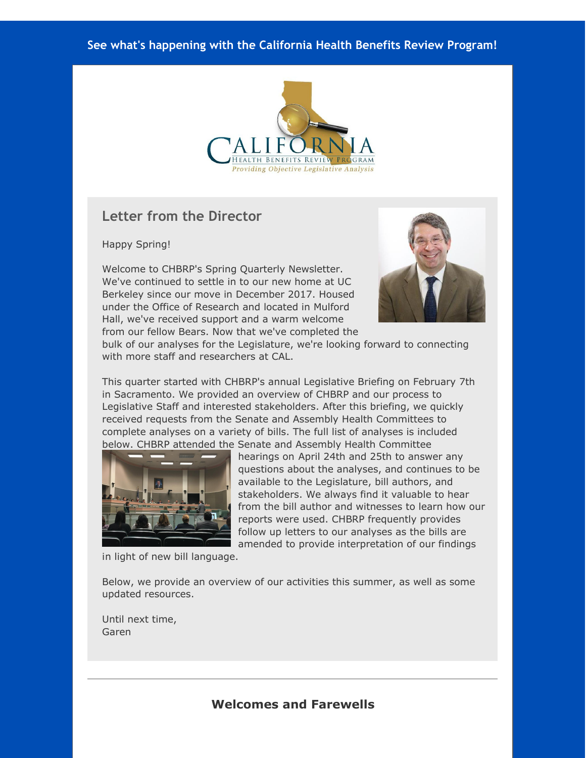#### **See what's happening with the California Health Benefits Review Program!**



### **Letter from the Director**

Happy Spring!

Welcome to CHBRP's Spring Quarterly Newsletter. We've continued to settle in to our new home at UC Berkeley since our move in December 2017. Housed under the Office of Research and located in Mulford Hall, we've received support and a warm welcome from our fellow Bears. Now that we've completed the



bulk of our analyses for the Legislature, we're looking forward to connecting with more staff and researchers at CAL.

This quarter started with CHBRP's annual Legislative Briefing on February 7th in Sacramento. We provided an overview of CHBRP and our process to Legislative Staff and interested stakeholders. After this briefing, we quickly received requests from the Senate and Assembly Health Committees to complete analyses on a variety of bills. The full list of analyses is included below. CHBRP attended the Senate and Assembly Health Committee



hearings on April 24th and 25th to answer any questions about the analyses, and continues to be available to the Legislature, bill authors, and stakeholders. We always find it valuable to hear from the bill author and witnesses to learn how our reports were used. CHBRP frequently provides follow up letters to our analyses as the bills are amended to provide interpretation of our findings

in light of new bill language.

Below, we provide an overview of our activities this summer, as well as some updated resources.

Until next time, Garen

### **Welcomes and Farewells**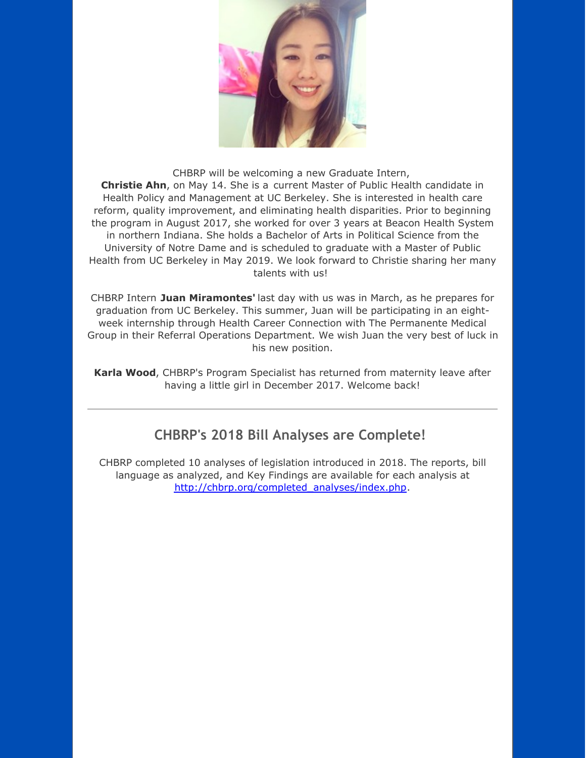

CHBRP will be welcoming a new Graduate Intern, **Christie Ahn**, on May 14. She is a current Master of Public Health candidate in Health Policy and Management at UC Berkeley. She is interested in health care reform, quality improvement, and eliminating health disparities. Prior to beginning the program in August 2017, she worked for over 3 years at Beacon Health System in northern Indiana. She holds a Bachelor of Arts in Political Science from the University of Notre Dame and is scheduled to graduate with a Master of Public Health from UC Berkeley in May 2019. We look forward to Christie sharing her many talents with us!

CHBRP Intern **Juan Miramontes'** last day with us was in March, as he prepares for graduation from UC Berkeley. This summer, Juan will be participating in an eightweek internship through Health Career Connection with The Permanente Medical Group in their Referral Operations Department. We wish Juan the very best of luck in his new position.

**Karla Wood**, CHBRP's Program Specialist has returned from maternity leave after having a little girl in December 2017. Welcome back!

## **CHBRP's 2018 Bill Analyses are Complete!**

CHBRP completed 10 analyses of legislation introduced in 2018. The reports, bill language as analyzed, and Key Findings are available for each analysis at [http://chbrp.org/completed\\_analyses/index.php](http://r20.rs6.net/tn.jsp?f=0013vy0lFf0e7IothOZu5jLHDOzoGNrohmA7YCoUyJxOe87qZsZaoZJK0C2Pptzv_hAiA2i3zoa5tPBeL24lcFXL0jxslgS5jThMQzEb3xtxEl_I8OfrJ_4iPkMcgP9dgoib3hxAZ_VTDx6uIwc_Dnv4n6Bv40PZX4IfnqCxKR7a5z8bF7uVez2hHCarjO-huVSTILBIrNtGIgH959b28D_vwhx6Agvx4oTHdlwAkHqzh9IWA-XmychU1eveYr3IDvZosRYCA142zl1-HeBZGo7laxHu4cFcGYZgkg3HlZbhRXiQcjobRXAUM9bhneAvV42TawMS5-s5rIPkbj3z1rTcNyT0BC-l4xF&c=&ch=).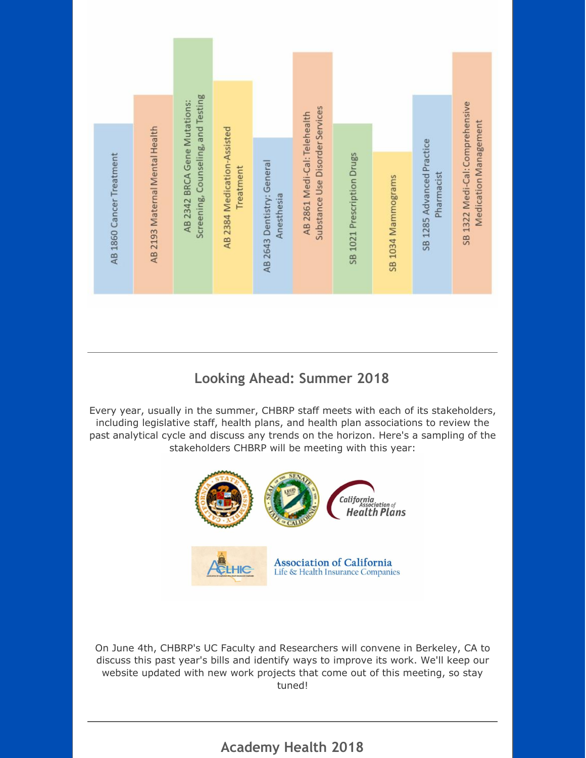

## **Looking Ahead: Summer 2018**

Every year, usually in the summer, CHBRP staff meets with each of its stakeholders, including legislative staff, health plans, and health plan associations to review the past analytical cycle and discuss any trends on the horizon. Here's a sampling of the stakeholders CHBRP will be meeting with this year:



On June 4th, CHBRP's UC Faculty and Researchers will convene in Berkeley, CA to discuss this past year's bills and identify ways to improve its work. We'll keep our website updated with new work projects that come out of this meeting, so stay tuned!

# **Academy Health 2018**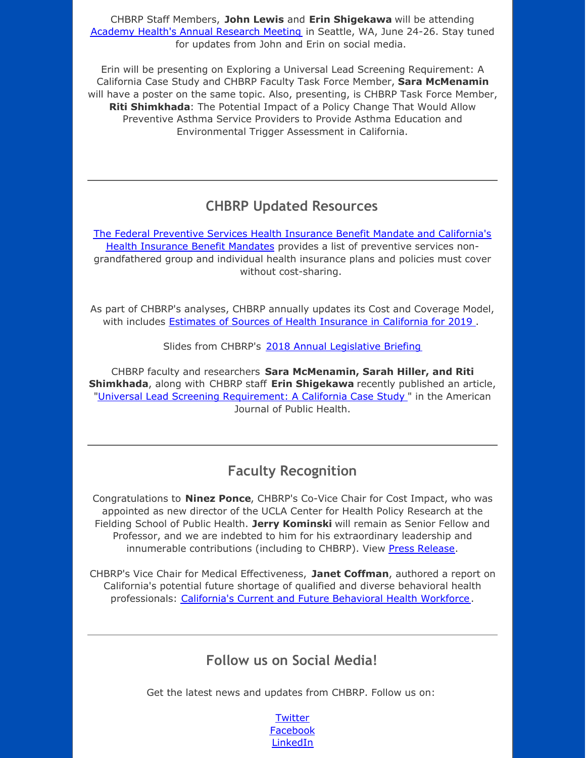CHBRP Staff Members, **John Lewis** and **Erin Shigekawa** will be attending Academy Health's Annual [Research](http://r20.rs6.net/tn.jsp?f=0013vy0lFf0e7IothOZu5jLHDOzoGNrohmA7YCoUyJxOe87qZsZaoZJK0C2Pptzv_hAmiP03ZIERVLq8lH7zU3LX_unJANNKYtdsonJTC0aa58I8Qu124VKpS6HTRRkj1CPvmCs4ELAfxngkgtazeyssT5seNTHPRqq8KIZdY4iSj4JYRN76JuhuuZaMshJVOkc4a32PQzFoicDHuemvrZuOr8JFQFQBoBACx7YCJe41-S0C9435vmju2i6b0XBAFvSMdX8lSVxfkJTLXS1duHMCxft-jre74YHY9cq-mVzlK5kMtuD4NwwXRaJKGCEaI-ImzEe-CjlpHl3Cm9_AgWs4XD8tMrQLl82M-I3vILvmbFBQzVcn4UinwTDeMww0qLx9WGOdFVXgU0=&c=&ch=) Meeting in Seattle, WA, June 24-26. Stay tuned for updates from John and Erin on social media.

Erin will be presenting on Exploring a Universal Lead Screening Requirement: A California Case Study and CHBRP Faculty Task Force Member, **Sara McMenamin** will have a poster on the same topic. Also, presenting, is CHBRP Task Force Member, **Riti Shimkhada**: The Potential Impact of a Policy Change That Would Allow Preventive Asthma Service Providers to Provide Asthma Education and Environmental Trigger Assessment in California.

## **CHBRP Updated Resources**

The Federal Preventive Services Health Insurance Benefit Mandate and [California's](http://r20.rs6.net/tn.jsp?f=0013vy0lFf0e7IothOZu5jLHDOzoGNrohmA7YCoUyJxOe87qZsZaoZJK0C2Pptzv_hATq-dy4ayfe9_uaTPjHFA09SRvx08vOowsQSIKFsM2lGKjABvZ1GIhM68V0W-jbquGnDVHOU4rlEEC2jrcIaD2HMFkuVbKFwGWAPg_NBZtlB7eshtclF29njrMfsqhoa_jbl8OyhUnK6q4l6hT0XQCEXUtrff07z3jqMFUPnJkaZCMOGnqkjG6MEsH4y8zPGQS_j8NEP0QHrmby1XcVr28fNHPg8aKDVDYW4GPAN7aiD6Tl7zY4ui9RWZuvZL9P3fXRD2o3iwVXIJaKwgWWHWu6DmsyBy43HH2BUyrIGzlgIhxQQHeGnmwfoHVqgKp642OI9vR85k6QaTFQLfkb_UGxm-gN9psDncRv1A_9bAf644Hra-8GtX98Afn_t6oHckGYkrQ8z-huo=&c=&ch=) Health Insurance Benefit Mandates provides a list of preventive services nongrandfathered group and individual health insurance plans and policies must cover without cost-sharing.

As part of CHBRP's analyses, CHBRP annually updates its Cost and Coverage Model, with includes Estimates of Sources of Health [Insurance](http://r20.rs6.net/tn.jsp?f=0013vy0lFf0e7IothOZu5jLHDOzoGNrohmA7YCoUyJxOe87qZsZaoZJK0C2Pptzv_hABAIkS9hjF597XtCxH-_cFgZV2Qs4zaZC2PBbJI1BcPM_qNvnshZaTVmbqNKDpzRf0dKP2lH01fyY2jFqNx8KjX7hlcD8FlCzZO2BAeOi-HTBLF05l16ujnbEvIcQzrHSRAYoWLg-SH6bfK_xUXPiID4kfeRlNIwQoki7DNqbpHfOvJfDWXOJCVXTVjvTr4w6T2Ut-Qeqj8bPWGMWv3ylX35b1OiZ5ZHSbzHCe3MEeIF1UXHUrWFRWiOeKcXDN7doIgXiLwoXsfW8PvXyMORhRAKrtF2U8dIvdQ51EgDKT6LS_Blm6xyrACFzorVe0eU9PzBBcGbNErD5Wn7_CP0i3BAiC3Fqat29xBidWTKT_qdl8WGIt5x_2A==&c=&ch=) in California for 2019 .

Slides from CHBRP's 2018 Annual [Legislative](http://r20.rs6.net/tn.jsp?f=0013vy0lFf0e7IothOZu5jLHDOzoGNrohmA7YCoUyJxOe87qZsZaoZJKyBjzpEIDeo02yfniDrblL4AwpiYe-2KboK-dqM5FSS0iRVw-zEhsvvr9G9Z2N9Wnj7xceWP6dNj7Ne_FdkM5nJiSghzYE2nIW0dmDwfrT9EE0chkQi-KOJ_BeTLulg-chG6YgEPcs8w82Wls_XfBKSm6DGpzzUqP0S9kRpUBGoUcfFgSh-gC0XruVIrIIQfV5KVZxpCO8nGVbSO_1XSe0GrR1mubYxH2BZLqjfA7o0LOMnbZS3lhazmer0gR3-1lq5IkR2FQnWqx8z7zVaE_sZFK7yjlk1sg9NkUrD3IaUQ&c=&ch=) Briefing

CHBRP faculty and researchers **Sara McMenamin, Sarah Hiller, and Riti Shimkhada**, along with CHBRP staff **Erin Shigekawa** recently published an article, "Universal Lead Screening [Requirement:](http://r20.rs6.net/tn.jsp?f=0013vy0lFf0e7IothOZu5jLHDOzoGNrohmA7YCoUyJxOe87qZsZaoZJK0C2Pptzv_hAbLfCfIO6K3XilH8IqpADhSSkhQg-iS01C3Ogj-tZ3UhsGMUoByHKvNIuNCwY4gQywJydmY_J0ffLd58_SUxyEU_6J5YWzda2iOIb6wZt9Jd48VwnCKa6TVFqvTrxRB5s6vJlkO9MKrO70O6kokQmRisK-Pu04V-PBkXZEE6ublYjwvpFU-_RufxS_MDd5_RO674X8QI4XyUyCNjWCPFSEtjkVBvWHi2owpvKr4If0eBPHcISuM1ycOouT6AVAAGuHrXyGV48cSKcHgxXtGfd6hLoSHZTkjYfbe4gmBAyfQqyTh4w_JXQyionn3gE1QXq3KUfXutlXG8=&c=&ch=) A California Case Study " in the American Journal of Public Health.

### **Faculty Recognition**

Congratulations to **Ninez Ponce**, CHBRP's Co-Vice Chair for Cost Impact, who was appointed as new director of the UCLA Center for Health Policy Research at the Fielding School of Public Health. **Jerry Kominski** will remain as Senior Fellow and Professor, and we are indebted to him for his extraordinary leadership and innumerable contributions (including to CHBRP). View Press [Release](http://r20.rs6.net/tn.jsp?f=0013vy0lFf0e7IothOZu5jLHDOzoGNrohmA7YCoUyJxOe87qZsZaoZJK0C2Pptzv_hA7Jx9aG0fZsmuXJ3xSXKb7X21O6PVOEy3QldHXGuqJCVHiKVwTKPACu8HdGpS6HSvYZbwf2e4bvmXexvrgiKfPtqVnMNsD98Jb-NlWTyLzVezU69f5wb7PRnA81l5vPromtDCTUY6ZusK_P1aTcfFroakkZoxbMLEzkHTGSmJbZx1UL25E7rFWq2c5Pkvq5TVO17_P4ex4eds6nzyXJGoZK6Jk0vdbcH17ewd9T0iDJW2i1VMG26vaheC5s2nBk3sJFu4_dfyi53Icja_C-FtFQr3jnLhV0yLi0fEX4q26CUyOMV8iR9pB_gkCEbbkUh6ktZTloL0MNSbMa-6HradsHpTCGP3lziZ&c=&ch=).

CHBRP's Vice Chair for Medical Effectiveness, **Janet Coffman**, authored a report on California's potential future shortage of qualified and diverse behavioral health professionals: [California's](http://r20.rs6.net/tn.jsp?f=0013vy0lFf0e7IothOZu5jLHDOzoGNrohmA7YCoUyJxOe87qZsZaoZJK0C2Pptzv_hAz_oiP2tlkgcQielKBhgnWE8jOrbSx482fyJF_-6ZV8B2hMunhIsgdmxwHSUwgSQqi8_BiEVuAU3ciApvk-iAvAHnJzcd2_bLCSLjkaFc78zJX5K34rVxJ3RWQDTvia3K7hFCHPdb8XGxkM87DCQkJw5bpdMLN5s1gDGLPuOUi0Z153bQzQcSDOTS644U7VCGR7-jtHuKWS_DDzBV8d0zyw2b0WrMs3r7AmjuAg2xoPQnKwk0w2eE-Tod9Kf4waTu0gj0AdmKUm9pC72CkPbrWlYF8YNmxGr-Ru3NZZiEuNCCZOKbmGxyqD5JU5s00V4ByJZiNgydhFEEl9gueGZd6ar2abjvKOfAFHORRxstPyw=&c=&ch=) Current and Future Behavioral Health Workforce.

## **Follow us on Social Media!**

Get the latest news and updates from CHBRP. Follow us on:

**[Twitter](http://r20.rs6.net/tn.jsp?f=0013vy0lFf0e7IothOZu5jLHDOzoGNrohmA7YCoUyJxOe87qZsZaoZJKz_lF_gL4mm_Y6xnApqG2-qJWSBzXCxGE1tAogcHjic35UD1tn5ZZYJQIRhbVWalx4UqQdZTGaHJCoKeQzJvI1XNoaojcopUbXtpnGIyla8JyHJpfTdcr8cwzjC83eVCoQ==&c=&ch=)** [Facebook](http://r20.rs6.net/tn.jsp?f=0013vy0lFf0e7IothOZu5jLHDOzoGNrohmA7YCoUyJxOe87qZsZaoZJKz_lF_gL4mm_Pid6F00Pf2hW8s7QGdCE70dBgP0S5LlVFvynNXcNHnlcpyYSm7_D3ZEAhSKL8zRKT_2NJbbVwx0W1Y0KKeh5tKWGLnYa8ip2nLJbxWBakZKkgdXgtRkcr9FlN3F2PpXP&c=&ch=) **[LinkedIn](http://r20.rs6.net/tn.jsp?f=0013vy0lFf0e7IothOZu5jLHDOzoGNrohmA7YCoUyJxOe87qZsZaoZJKz_lF_gL4mm_mN48GAievWcFXxEpj1QUeVIOOKwAWi6wBS9p6bLLgvi4CtNyZ4DX4ynI2fS3MnNNLJlvOCsFNtCu80q9V3MaDln4qVLWZ9aJTOVMh2wP1GGnk1RBHXjw8ddn-gAVz7ekZHi2N64ndfpQz0a87KKjR8k9uc-obqM7wp7HAyNg7Wg=&c=&ch=)**